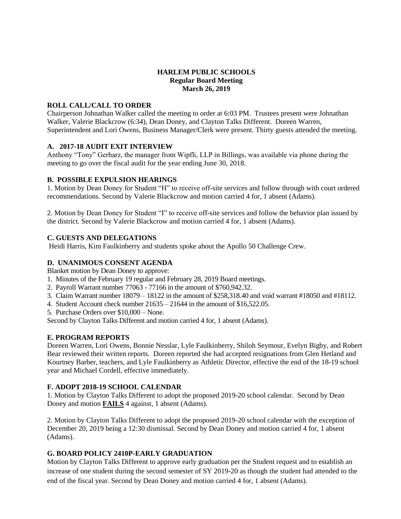### **HARLEM PUBLIC SCHOOLS Regular Board Meeting March 26, 2019**

### **ROLL CALL/CALL TO ORDER**

Chairperson Johnathan Walker called the meeting to order at 6:03 PM. Trustees present were Johnathan Walker, Valerie Blackcrow (6:34), Dean Doney, and Clayton Talks Different. Doreen Warren, Superintendent and Lori Owens, Business Manager/Clerk were present. Thirty guests attended the meeting.

## **A. 2017-18 AUDIT EXIT INTERVIEW**

Anthony "Tony" Gerharz, the manager from Wipfli, LLP in Billings, was available via phone during the meeting to go over the fiscal audit for the year ending June 30, 2018.

## **B. POSSIBLE EXPULSION HEARINGS**

1. Motion by Dean Doney for Student "H" to receive off-site services and follow through with court ordered recommendations. Second by Valerie Blackcrow and motion carried 4 for, 1 absent (Adams).

2. Motion by Dean Doney for Student "I" to receive off-site services and follow the behavior plan issued by the district. Second by Valerie Blackcrow and motion carried 4 for, 1 absent (Adams).

## **C. GUESTS AND DELEGATIONS**

Heidi Harris, Kim Faulkinberry and students spoke about the Apollo 50 Challenge Crew.

# **D. UNANIMOUS CONSENT AGENDA**

Blanket motion by Dean Doney to approve:

- 1. Minutes of the February 19 regular and February 28, 2019 Board meetings.
- 2. Payroll Warrant number 77063 77166 in the amount of \$760,942.32.
- 3. Claim Warrant number 18079 18122 in the amount of \$258,318.40 and void warrant #18050 and #18112.
- 4. Student Account check number 21635 21644 in the amount of \$16,522.05.
- 5. Purchase Orders over \$10,000 None.

Second by Clayton Talks Different and motion carried 4 for, 1 absent (Adams).

### **E. PROGRAM REPORTS**

Doreen Warren, Lori Owens, Bonnie Nesslar, Lyle Faulkinberry, Shiloh Seymour, Evelyn Bigby, and Robert Bear reviewed their written reports. Doreen reported she had accepted resignations from Glen Hetland and Kourtney Barber, teachers, and Lyle Faulkinberry as Athletic Director, effective the end of the 18-19 school year and Michael Cordell, effective immediately.

### **F. ADOPT 2018-19 SCHOOL CALENDAR**

1. Motion by Clayton Talks Different to adopt the proposed 2019-20 school calendar. Second by Dean Doney and motion **FAILS** 4 against, 1 absent (Adams).

2. Motion by Clayton Talks Different to adopt the proposed 2019-20 school calendar with the exception of December 20, 2019 being a 12:30 dismissal. Second by Dean Doney and motion carried 4 for, 1 absent (Adams).

### **G. BOARD POLICY 2410P-EARLY GRADUATION**

Motion by Clayton Talks Different to approve early graduation per the Student request and to establish an increase of one student during the second semester of SY 2019-20 as though the student had attended to the end of the fiscal year. Second by Dean Doney and motion carried 4 for, 1 absent (Adams).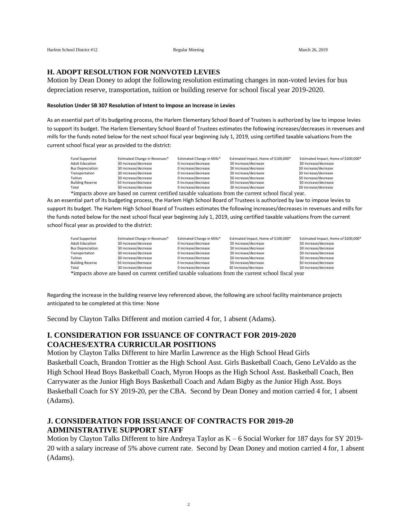### **H. ADOPT RESOLUTION FOR NONVOTED LEVIES**

Motion by Dean Doney to adopt the following resolution estimating changes in non-voted levies for bus depreciation reserve, transportation, tuition or building reserve for school fiscal year 2019-2020.

#### **Resolution Under SB 307 Resolution of Intent to Impose an Increase in Levies**

As an essential part of its budgeting process, the Harlem Elementary School Board of Trustees is authorized by law to impose levies to support its budget. The Harlem Elementary School Board of Trustees estimates the following increases/decreases in revenues and mills for the funds noted below for the next school fiscal year beginning July 1, 2019, using certified taxable valuations from the current school fiscal year as provided to the district:

| Fund Supported          | Estimated Change in Revenues* | Estimated Change in Mills* | Estimated Impact, Home of \$100,000* | Estimated Impact, Home of \$200,000* |
|-------------------------|-------------------------------|----------------------------|--------------------------------------|--------------------------------------|
| <b>Adult Education</b>  | \$0 increase/decrease         | 0 increase/decrease        | \$0 increase/decrease                | \$0 increase/decrease                |
| <b>Bus Depreciation</b> | \$0 increase/decrease         | 0 increase/decrease        | \$0 increase/decrease                | \$0 increase/decrease                |
| Transportation          | \$0 increase/decrease         | 0 increase/decrease        | \$0 increase/decrease                | \$0 increase/decrease                |
| Tuition                 | \$0 increase/decrease         | 0 increase/decrease        | \$0 increase/decrease                | \$0 increase/decrease                |
| <b>Building Reserve</b> | \$0 increase/decrease         | 0 increase/decrease        | \$0 increase/decrease                | \$0 increase/decrease                |
| Total                   | \$0 increase/decrease         | 0 increase/decrease        | \$0 increase/decrease                | \$0 increase/decrease                |
| $\sim$ $\sim$           |                               |                            | - -                                  |                                      |

\*impacts above are based on current certified taxable valuations from the current school fiscal year. As an essential part of its budgeting process, the Harlem High School Board of Trustees is authorized by law to impose levies to support its budget. The Harlem High School Board of Trustees estimates the following increases/decreases in revenues and mills for the funds noted below for the next school fiscal year beginning July 1, 2019, using certified taxable valuations from the current school fiscal year as provided to the district:

| <b>Fund Supported</b>   | Estimated Change in Revenues* | Estimated Change in Mills* | Estimated Impact, Home of \$100,000*                                                                 | Estimated Impact, Home of \$200,000* |
|-------------------------|-------------------------------|----------------------------|------------------------------------------------------------------------------------------------------|--------------------------------------|
| <b>Adult Education</b>  | \$0 increase/decrease         | 0 increase/decrease        | \$0 increase/decrease                                                                                | \$0 increase/decrease                |
| <b>Bus Depreciation</b> | \$0 increase/decrease         | 0 increase/decrease        | \$0 increase/decrease                                                                                | \$0 increase/decrease                |
| Transportation          | \$0 increase/decrease         | 0 increase/decrease        | \$0 increase/decrease                                                                                | \$0 increase/decrease                |
| Tuition                 | \$0 increase/decrease         | 0 increase/decrease        | \$0 increase/decrease                                                                                | \$0 increase/decrease                |
| <b>Building Reserve</b> | \$0 increase/decrease         | 0 increase/decrease        | \$0 increase/decrease                                                                                | \$0 increase/decrease                |
| Total                   | \$0 increase/decrease         | 0 increase/decrease        | \$0 increase/decrease                                                                                | \$0 increase/decrease                |
|                         |                               |                            | *impacts above are based on current certified taxable valuations from the current school fiscal vear |                                      |

\*impacts above are based on current certified taxable valuations from the current school fiscal year

Regarding the increase in the building reserve levy referenced above, the following are school facility maintenance projects anticipated to be completed at this time: None

Second by Clayton Talks Different and motion carried 4 for, 1 absent (Adams).

# **I. CONSIDERATION FOR ISSUANCE OF CONTRACT FOR 2019-2020 COACHES/EXTRA CURRICULAR POSITIONS**

Motion by Clayton Talks Different to hire Marlin Lawrence as the High School Head Girls Basketball Coach, Brandon Trottier as the High School Asst. Girls Basketball Coach, Geno LeValdo as the High School Head Boys Basketball Coach, Myron Hoops as the High School Asst. Basketball Coach, Ben Carrywater as the Junior High Boys Basketball Coach and Adam Bigby as the Junior High Asst. Boys Basketball Coach for SY 2019-20, per the CBA. Second by Dean Doney and motion carried 4 for, 1 absent (Adams).

# **J. CONSIDERATION FOR ISSUANCE OF CONTRACTS FOR 2019-20 ADMINISTRATIVE SUPPORT STAFF**

Motion by Clayton Talks Different to hire Andreya Taylor as K – 6 Social Worker for 187 days for SY 2019- 20 with a salary increase of 5% above current rate. Second by Dean Doney and motion carried 4 for, 1 absent (Adams).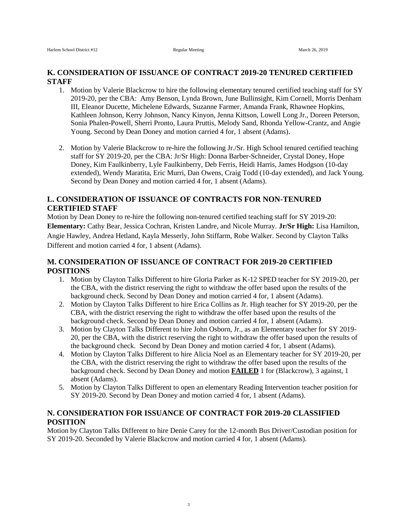# **K. CONSIDERATION OF ISSUANCE OF CONTRACT 2019-20 TENURED CERTIFIED STAFF**

- 1. Motion by Valerie Blackcrow to hire the following elementary tenured certified teaching staff for SY 2019-20, per the CBA: Amy Benson, Lynda Brown, June Bullinsight, Kim Cornell, Morris Denham III, Eleanor Ducette, Michelene Edwards, Suzanne Farmer, Amanda Frank, Rhawnee Hopkins, Kathleen Johnson, Kerry Johnson, Nancy Kinyon, Jenna Kittson, Lowell Long Jr., Doreen Peterson, Sonia Phalen-Powell, Sherri Pronto, Laura Pruttis, Melody Sand, Rhonda Yellow-Crantz, and Angie Young. Second by Dean Doney and motion carried 4 for, 1 absent (Adams).
- 2. Motion by Valerie Blackcrow to re-hire the following Jr./Sr. High School tenured certified teaching staff for SY 2019-20, per the CBA: Jr/Sr High: Donna Barber-Schneider, Crystal Doney, Hope Doney, Kim Faulkinberry, Lyle Faulkinberry, Deb Ferris, Heidi Harris, James Hodgson (10-day extended), Wendy Maratita, Eric Murri, Dan Owens, Craig Todd (10-day extended), and Jack Young. Second by Dean Doney and motion carried 4 for, 1 absent (Adams).

# **L. CONSIDERATION OF ISSUANCE OF CONTRACTS FOR NON-TENURED CERTIFIED STAFF**

Motion by Dean Doney to re-hire the following non-tenured certified teaching staff for SY 2019-20: **Elementary:** Cathy Bear, Jessica Cochran, Kristen Landre, and Nicole Murray. **Jr/Sr High:** Lisa Hamilton, Angie Hawley, Andrea Hetland, Kayla Messerly, John Stiffarm, Robe Walker. Second by Clayton Talks Different and motion carried 4 for, 1 absent (Adams).

# **M. CONSIDERATION OF ISSUANCE OF CONTRACT FOR 2019-20 CERTIFIED POSITIONS**

- 1. Motion by Clayton Talks Different to hire Gloria Parker as K-12 SPED teacher for SY 2019-20, per the CBA, with the district reserving the right to withdraw the offer based upon the results of the background check. Second by Dean Doney and motion carried 4 for, 1 absent (Adams).
- 2. Motion by Clayton Talks Different to hire Erica Collins as Jr. High teacher for SY 2019-20, per the CBA, with the district reserving the right to withdraw the offer based upon the results of the background check. Second by Dean Doney and motion carried 4 for, 1 absent (Adams).
- 3. Motion by Clayton Talks Different to hire John Osborn, Jr., as an Elementary teacher for SY 2019- 20, per the CBA, with the district reserving the right to withdraw the offer based upon the results of the background check. Second by Dean Doney and motion carried 4 for, 1 absent (Adams).
- 4. Motion by Clayton Talks Different to hire Alicia Noel as an Elementary teacher for SY 2019-20, per the CBA, with the district reserving the right to withdraw the offer based upon the results of the background check. Second by Dean Doney and motion **FAILED** 1 for (Blackcrow), 3 against, 1 absent (Adams).
- 5. Motion by Clayton Talks Different to open an elementary Reading Intervention teacher position for SY 2019-20. Second by Dean Doney and motion carried 4 for, 1 absent (Adams).

# **N. CONSIDERATION FOR ISSUANCE OF CONTRACT FOR 2019-20 CLASSIFIED POSITION**

Motion by Clayton Talks Different to hire Denie Carey for the 12-month Bus Driver/Custodian position for SY 2019-20. Seconded by Valerie Blackcrow and motion carried 4 for, 1 absent (Adams).